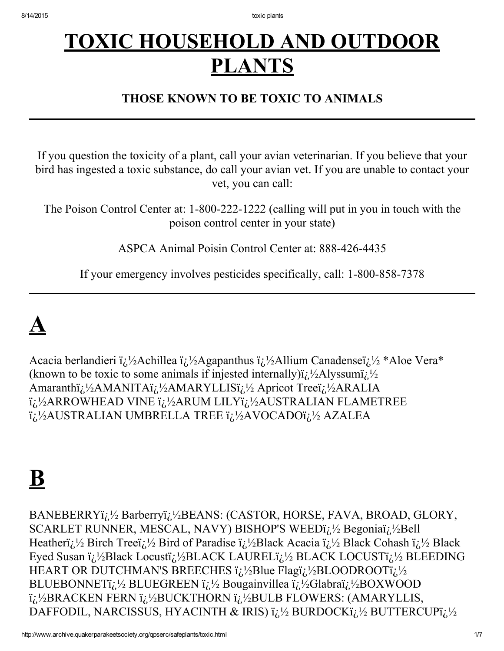### TOXIC HOUSEHOLD AND OUTDOOR **PLANTS**

### THOSE KNOWN TO BE TOXIC TO ANIMALS

If you question the toxicity of a plant, call your avian veterinarian. If you believe that your bird has ingested a toxic substance, do call your avian vet. If you are unable to contact your vet, you can call:

The Poison Control Center at: 1-800-222-1222 (calling will put in you in touch with the poison control center in your state)

ASPCA Animal Poisin Control Center at: 888-426-4435

If your emergency involves pesticides specifically, call: 1-800-858-7378

### $\overline{\mathbf{A}}$

Acacia berlandieri  $i_L$ ½Achillea  $i_L$ ½Agapanthus  $i_L$ ½Allium Canadense $i_L$ ½ \*Aloe Vera\* (known to be toxic to some animals if injested internally) $i_{\lambda}^{1/2}$ Alyssum $i_{\lambda}^{1/2}$ Amaranthi $\lambda^{1/2}$ AMANITA $\lambda^{1/2}$ AMARYLLISi $\lambda^{1/2}$ Apricot Tree $\lambda^{1/2}$ ARALIA i<sub>i</sub>:<sup>1</sup>/2ARROWHEAD VINE i<sub>i</sub>:<sup>1</sup>/2ARUM LILYi<sub>i</sub>:<sup>1</sup>/2AUSTRALIAN FLAMETREE i<sub>i</sub>:<sup>1</sup>/<sub>2</sub>AUSTRALIAN UMBRELLA TREE i<sub>i</sub>:<sup>1</sup>/<sub>2</sub>AVOCADOi<sub>i</sub>:<sup>1</sup>/<sub>2</sub> AZALEA

### B

BANEBERRYï;<sup>1</sup>/<sub>2</sub> Barberryï;<sup>1</sup>/<sub>2</sub>BEANS: (CASTOR, HORSE, FAVA, BROAD, GLORY, SCARLET RUNNER, MESCAL, NAVY) BISHOP'S WEED $i/\sqrt{2}$  Begonia $i/\sqrt{2}$ Bell Heatheri $\lambda^1$  Birch Tree $\lambda^1$  Bird of Paradise  $\lambda^1$  Black Acacia  $\lambda^1$  Black Cohash  $\lambda^1$  Black Eyed Susan  $i_L$ <sup>1</sup>/2Black Locusti<sub> $i_L$ </sub><sup>1</sup>/2BLACK LAUREL $i_L$ <sup>1</sup>/2BLACK LOCUST $i_L$ <sup>1</sup>/2BLEEDING HEART OR DUTCHMAN'S BREECHES  $i_L$ !/2Blue Flagi $i_L$ !/2BLOODROOT $i_L$ !/2 BLUEBONNETi<sub> $i_1$ </sub><sup>1</sup>/<sub>2</sub> BLUEGREEN  $i_i$ <sup>1</sup>/<sub>2</sub> Bougainvillea  $i_i$ <sup>1</sup>/<sub>2</sub>Glabra $i_i$ <sup>1</sup>/<sub>2</sub>BOXWOOD  $i_{\zeta}^{1/2}$ BRACKEN FERN  $i_{\zeta}^{1/2}$ BUCKTHORN  $i_{\zeta}^{1/2}$ BULB FLOWERS: (AMARYLLIS, DAFFODIL, NARCISSUS, HYACINTH & IRIS)  $i_l$ !/2 BURDOCK $i_l$ !/2 BUTTERCUP $i_l$ !/2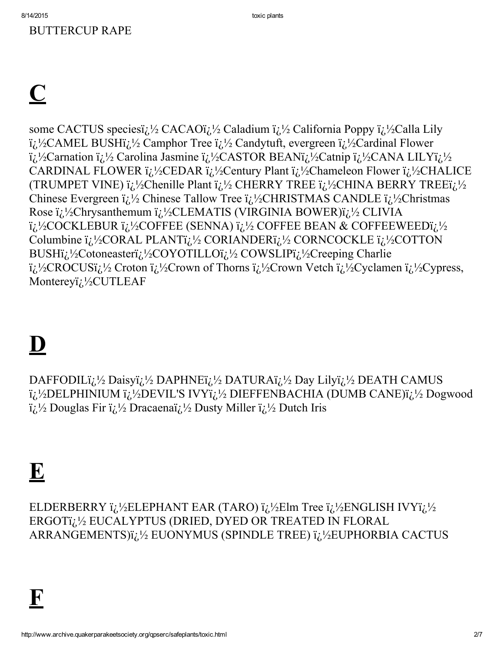### **BUTTERCUP RAPE**

### $\overline{\mathbf{C}}$

some CACTUS speciesi $\chi^1/2$  CACAOi $\chi^1/2$  Caladium  $\chi^1/2$  California Poppy  $\chi^1/2$ Calla Lily i<sub>i</sub>.<sup>1</sup>/<sub>2</sub>CAMEL BUSHi<sub>i</sub>.<sup>1</sup>/<sub>2</sub> Camphor Tree i<sub>i</sub>.<sup>1</sup>/<sub>2</sub> Candytuft, evergreen i<sub>i</sub>.<sup>1</sup>/<sub>2</sub>Cardinal Flower i<sub>i</sub>.<sup>1</sup>/<sub>2</sub>Carnation i<sub>i</sub>.<sup>1</sup>/<sub>2</sub> Carolina Jasmine i<sub>i</sub>.<sup>1</sup>/<sub>2</sub>CASTOR BEANi<sub>i</sub>.<sup>1</sup>/<sub>2</sub>Catnip i<sub>i</sub>.<sup>1</sup>/<sub>2</sub>CANA LILYi<sub>i</sub>.<sup>1</sup>/<sub>2</sub> CARDINAL FLOWER  $i_{\zeta}/2$ CEDAR  $i_{\zeta}/2$ Century Plant  $i_{\zeta}/2$ Chameleon Flower  $i_{\zeta}/2$ CHALICE (TRUMPET VINE)  $i_{i}$ !/2Chenille Plant  $i_{i}$ !/2 CHERRY TREE  $i_{i}$ !/2CHINA BERRY TREE $i_{i}$ !/2 Chinese Evergreen  $i_l$   $\frac{1}{2}$  Chinese Tallow Tree  $i_l$   $\frac{1}{2}$ CHRISTMAS CANDLE  $i_l$   $\frac{1}{2}$ Christmas Rose i<sub>i</sub>.½Chrysanthemum i<sub>i.</sub>½CLEMATIS (VIRGINIA BOWER)i<sub>i.</sub>½ CLIVIA i<sub>i</sub>.<sup>1</sup>/<sub>2</sub>COCKLEBUR i<sub>i</sub>.<sup>1</sup>/<sub>2</sub>COFFEE (SENNA) i<sub>i</sub>.<sup>1</sup>/<sub>2</sub> COFFEE BEAN & COFFEEWEEDi<sub>i</sub>.<sup>1</sup>/<sub>2</sub> Columbine i<sub>i</sub>.<sup>1</sup>/<sub>2</sub>CORAL PLANTi<sub>i</sub>.<sup>1</sup>/<sub>2</sub> CORIANDERi<sub>i.</sub><sup>1</sup>/<sub>2</sub> CORNCOCKLE i<sub>i.</sub><sup>1</sup>/<sub>2</sub>COTTON BUSHi<sub>i</sub>.<sup>1</sup>/<sub>2</sub>Cotoneasteri<sub>i</sub>.<sup>1</sup>/<sub>2</sub>COYOTILLOi<sub>i</sub>.<sup>1</sup>/<sub>2</sub> COWSLIPi<sub>i</sub>.<sup>1</sup>/<sub>2</sub>Creeping Charlie i<sub>i</sub>.<sup>1</sup>/<sub>2</sub>CROCUSi<sub>i</sub>.<sup>1</sup>/<sub>2</sub> Croton i<sub>i</sub>.<sup>1</sup>/<sub>2</sub>Crown of Thorns i<sub>i</sub>.<sup>1</sup>/<sub>2</sub>Crown Vetch i<sub>i</sub>.<sup>1</sup>/<sub>2</sub>Cyclamen i<sub>i</sub>.<sup>1</sup>/<sub>2</sub>Cypress, Montereyi<sub>i</sub>.<sup>1</sup>/<sub>2</sub>CUTLEAF

### $\mathbf{D}$

DAFFODILi<sub>i</sub>.<sup>1</sup>/<sub>2</sub> Daisyi<sub>i</sub>.<sup>1</sup>/<sub>2</sub> DAPHNEi<sub>i.</sub><sup>1</sup>/<sub>2</sub> DATURAi<sub>i.</sub><sup>1</sup>/<sub>2</sub> Day Lilyi<sub>i</sub>.<sup>1</sup>/<sub>2</sub> DEATH CAMUS i<sub>i</sub>.<sup>1</sup>/<sub>2</sub>DELPHINIUM i<sub>i</sub>.<sup>1</sup>/<sub>2</sub>DEVIL'S IVYi<sub>i</sub>.<sup>1</sup>/<sub>2</sub> DIEFFENBACHIA (DUMB CANE)i<sub>i.</sub><sup>1</sup>/<sub>2</sub> Dogwood  $i_{\lambda}^{1/2}$  Douglas Fir  $i_{\lambda}^{1/2}$  Dracaena $i_{\lambda}^{1/2}$  Dusty Miller  $i_{\lambda}^{1/2}$  Dutch Iris

### $\mathbf{E}$

ELDERBERRY  $i_{\lambda}$ <sup>1</sup>/<sub>2</sub>ELEPHANT EAR (TARO)  $i_{\lambda}$ <sup>1</sup>/<sub>2</sub>Elm Tree  $i_{\lambda}$ <sup>1</sup>/<sub>2</sub>ENGLISH IVY $i_{\lambda}$ <sup>1</sup>/<sub>2</sub> ERGOTi<sub>i.</sub><sup>1/2</sup> EUCALYPTUS (DRIED, DYED OR TREATED IN FLORAL ARRANGEMENTS) i<sub>i</sub>.<sup>1/2</sup> EUONYMUS (SPINDLE TREE) i<sub>i</sub>.<sup>1</sup>/2 EUPHORBIA CACTUS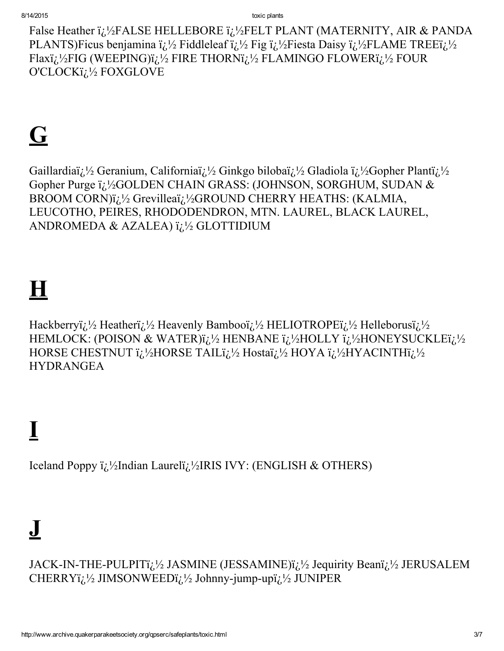False Heather i<sub>i</sub>.<sup>1</sup>/<sub>2</sub>FALSE HELLEBORE i<sub>i</sub>.<sup>1</sup>/<sub>2</sub>FELT PLANT (MATERNITY, AIR & PANDA PLANTS)Ficus benjamina  $i/\frac{1}{2}$  Fiddleleaf  $i/\frac{1}{2}$  Fig  $i/\frac{1}{2}$ Fiesta Daisy  $i/\frac{1}{2}$ FLAME TREE $i/\frac{1}{2}$ Flaxi<sub>i</sub>:<sup>1</sup>/<sub>2</sub>FIG (WEEPING)i<sub>i</sub>:<sup>1</sup>/<sub>2</sub> FIRE THORNi<sub>i</sub>:<sup>1</sup>/<sub>2</sub> FLAMINGO FLOWERi<sub>i</sub>:<sup>1</sup>/<sub>2</sub> FOUR O'CLOCKi<sub>l.</sub>1/2 FOXGLOVE

# $\overline{\mathbf{G}}$

Gaillardiai<sub>i</sub>,<sup>1</sup>/<sub>2</sub> Geranium, Californiai<sub>i</sub>,<sup>1</sup>/<sub>2</sub> Ginkgo bilobai<sub>i</sub>,<sup>1</sup>/<sub>2</sub> Gladiola i<sub>i</sub>,<sup>1</sup>/<sub>2</sub> Gopher Planti<sub>i</sub>,<sup>1</sup>/<sub>2</sub> Gopher Purge i<sub>i</sub>.<sup>1</sup>/<sub>2</sub>GOLDEN CHAIN GRASS: (JOHNSON, SORGHUM, SUDAN & BROOM CORN) i<sub>i.</sub><sup>1/2</sup> Grevilleai<sub>i.</sub><sup>1</sup>/2GROUND CHERRY HEATHS: (KALMIA, LEUCOTHO, PEIRES, RHODODENDRON, MTN. LAUREL, BLACK LAUREL, ANDROMEDA & AZALEA) i<sub>i</sub>:<sup>1</sup>/<sub>2</sub> GLOTTIDIUM

## $\overline{\mathbf{H}}$

Hackberryi;  $\frac{1}{2}$  Heatheri;  $\frac{1}{2}$  Heavenly Bambooi;  $\frac{1}{2}$  HELIOTROPEi;  $\frac{1}{2}$  Helleborusi;  $\frac{1}{2}$ HEMLOCK: (POISON & WATER)i<sub>i</sub>.<sup>1/2</sup> HENBANE i<sub>i</sub>.<sup>1</sup>/2HOLLY i<sub>i</sub>.<sup>1</sup>/2HONEYSUCKLEi<sub>i.</sub><sup>1</sup>/2 HORSE CHESTNUT i<sub>i</sub>.<sup>1</sup>/<sub>2</sub>HORSE TAILi<sub>i</sub>.<sup>1</sup>/<sub>2</sub> Hostaï<sub>i</sub>.<sup>1</sup>/<sub>2</sub> HOYA i<sub>i</sub>.<sup>1</sup>/<sub>2</sub>HYACINTHi<sub>i</sub>.<sup>1</sup>/<sub>2</sub> **HYDRANGEA** 

### $\mathbf I$

Iceland Poppy  $i_{\xi}$ <sup>1</sup>/<sub>2</sub>Indian Laureli<sub> $\zeta$ </sub><sup>1</sup>/<sub>2</sub>IRIS IVY: (ENGLISH & OTHERS)

# $\overline{\mathbf{J}}$

JACK-IN-THE-PULPITi<sub>i.</sub><sup>1</sup>/<sub>2</sub> JASMINE (JESSAMINE)i<sub>i</sub>.<sup>1</sup>/<sub>2</sub> Jequirity Beani<sub>i</sub>.<sup>1</sup>/<sub>2</sub> JERUSALEM CHERRYi<sub>i</sub>!/<sub>2</sub> JIMSONWEEDi<sub>i</sub>!/<sub>2</sub> Johnny-jump-upi<sub>i</sub>!/<sub>2</sub> JUNIPER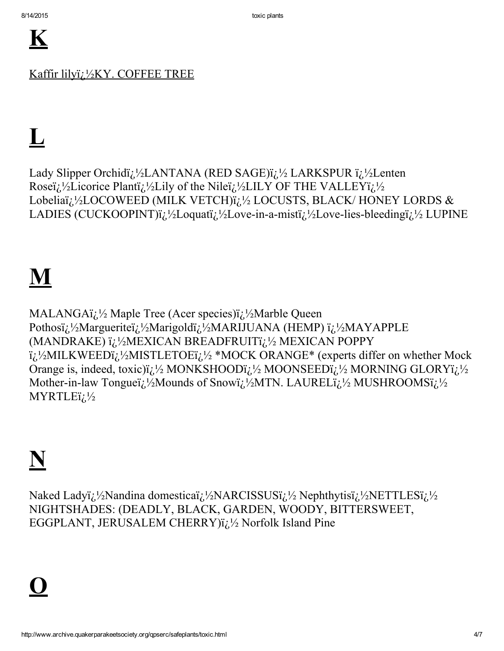Kaffir lilyi; '/<sub>2</sub>KY. COFFEE TREE

# ${\bf L}$

Lady Slipper Orchidï; 1/2LANTANA (RED SAGE)ï; 1/2 LARKSPUR ï; 1/2Lenten Roseï; <sup>1</sup>/<sub>2</sub>Licorice Plantï; <sup>1</sup>/<sub>2</sub>Lily of the Nileï; <sup>1</sup>/<sub>2</sub>LILY OF THE VALLEYi; <sup>1</sup>/<sub>2</sub> Lobeliaï<sub>i</sub>.<sup>1</sup>/<sub>2</sub>LOCOWEED (MILK VETCH)ï<sub>i</sub>.<sup>1</sup>/<sub>2</sub> LOCUSTS, BLACK/ HONEY LORDS & LADIES (CUCKOOPINT)i<sub>i</sub>.<sup>1</sup>/<sub>2</sub>Loquati<sub>i</sub>.<sup>1</sup>/<sub>2</sub>Love-in-a-misti<sub>i</sub>.<sup>1</sup>/<sub>2</sub>Love-lies-bleedingi<sub>i</sub>.<sup>1</sup>/<sub>2</sub> LUPINE

## M

MALANGAï<sub>i</sub>.<sup>1</sup>/<sub>2</sub> Maple Tree (Acer species)ï<sub>i</sub>.<sup>1</sup>/<sub>2</sub>Marble Queen Pothosï; 1/2Margueriteï; 1/2Marigoldï; 1/2MARIJUANA (HEMP) ï; 1/2MAYAPPLE (MANDRAKE) ij.1/2MEXICAN BREADFRUITij.1/2 MEXICAN POPPY i<sub>i</sub>.<sup>1</sup>/<sub>2</sub>MILKWEEDi<sub>i</sub>.<sup>1</sup>/<sub>2</sub>MISTLETOEi<sub>i</sub>.<sup>1</sup>/<sub>2</sub> \*MOCK ORANGE\* (experts differ on whether Mock Orange is, indeed, toxic) $i_l$ !/<sub>2</sub> MONKSHOOD $i_l$ !/<sub>2</sub> MOONSEED $i_l$ !/<sub>2</sub> MORNING GLORY $i_l$ !/<sub>2</sub> Mother-in-law Tongueï<sub>6</sub>.<sup>1</sup>/<sub>2</sub>Mounds of Snowï<sub>6</sub>.<sup>1</sup>/<sub>2</sub>MTN. LAURELï<sub>6</sub>.<sup>1</sup>/<sub>2</sub> MUSHROOMSï<sub>6</sub>.<sup>1</sup>/<sub>2</sub>  $MYRTLEij\frac{1}{2}$ 

Naked Ladyi<sub>i</sub>.<sup>1</sup>/<sub>2</sub>Nandina domesticai<sub>i</sub>.<sup>1</sup>/<sub>2</sub>NARCISSUSi<sub>i</sub>.<sup>1</sup>/<sub>2</sub>Nephthytisi<sub>i</sub>.<sup>1</sup>/<sub>2</sub>NETTLESi<sub>i</sub>.<sup>1</sup>/<sub>2</sub> NIGHTSHADES: (DEADLY, BLACK, GARDEN, WOODY, BITTERSWEET, EGGPLANT, JERUSALEM CHERRY) $i_{\lambda}/2$  Norfolk Island Pine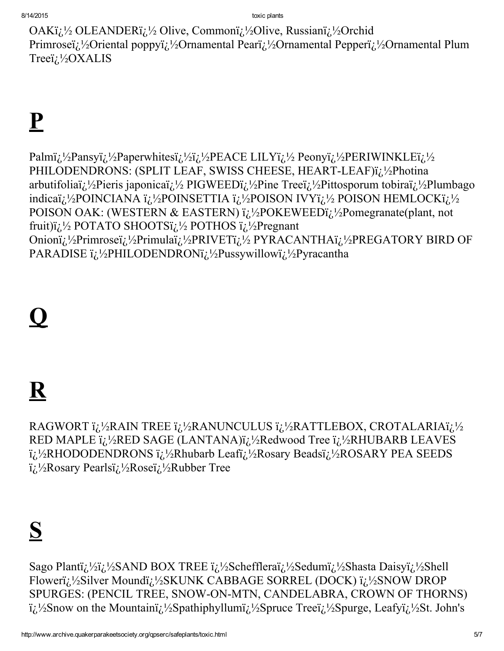OAKi<sub>i</sub>.<sup>1</sup>/<sub>2</sub> OLEANDERi<sub>i</sub>.<sup>1</sup>/<sub>2</sub> Olive, Commoni<sub>i</sub>.<sup>1</sup>/<sub>2</sub>Olive, Russiani<sub>i</sub>.<sup>1</sup>/<sub>2</sub>Orchid Primroseï<sub>i</sub>.<sup>1</sup>/<sub>2</sub>Oriental poppyï<sub>i</sub>.<sup>1</sup>/<sub>2</sub>Ornamental Pearï<sub>i</sub>.<sup>1</sup>/<sub>2</sub>Ornamental Pepperï<sub>i</sub>.<sup>1</sup>/<sub>2</sub>Ornamental Plum Treeï<sub>i</sub>.<sup>1</sup>/<sub>2</sub>OXALIS

# $\mathbf{P}$

Palmi<sub>i</sub>,1/<sub>2</sub>Pansyi<sub>i</sub>,1/<sub>2</sub>Paperwhitesi<sub>i</sub>,1/<sub>2</sub>i<sub>i</sub>,1/<sub>2</sub>PEACE LILYi<sub>i</sub>,1/<sub>2</sub> Peonyi<sub>i</sub>,1/<sub>2</sub>PERIWINKLEi<sub>i</sub>,1/<sub>2</sub> PHILODENDRONS: (SPLIT LEAF, SWISS CHEESE, HEART-LEAF)ï¿1/2Photina arbutifoliai; <sup>1</sup>/<sub>2</sub>Pieris japonicai; <sup>1</sup>/<sub>2</sub>PIGWEEDi; <sup>1</sup>/<sub>2</sub>Pine Treei; <sup>1</sup>/<sub>2</sub>Pittosporum tobirai; <sup>1</sup>/<sub>2</sub>Plumbago indicaï<sub>i</sub>,<sup>1</sup>/<sub>2</sub>POINCIANA ï<sub>i</sub>,<sup>1</sup>/<sub>2</sub>POINSETTIA ï<sub>i</sub>,<sup>1</sup>/<sub>2</sub>POISON IVYï<sub>i</sub>,<sup>1</sup>/<sub>2</sub> POISON HEMLOCKï<sub>i</sub>,<sup>1</sup>/<sub>2</sub> POISON OAK: (WESTERN & EASTERN) i<sub>i</sub>.<sup>1</sup>/<sub>2</sub>POKEWEEDi<sub>i</sub>.<sup>1</sup>/<sub>2</sub>Pomegranate(plant, not fruit) $i_{\lambda}$  2/<sub>2</sub> POTATO SHOOTS $i_{\lambda}$ <sup>1</sup>/<sub>2</sub> POTHOS  $i_{\lambda}$ <sup>1</sup>/<sub>2</sub> Pregnant Onioni<sub>i</sub>.<sup>1</sup>/<sub>2</sub>Primrosei<sub>i</sub>.<sup>1</sup>/<sub>2</sub>Primulai<sub>i</sub>.<sup>1</sup>/<sub>2</sub>PRIVET<sub>i</sub>.<sup>1</sup>/<sub>2</sub>PYRACANTHAi<sub>i</sub>.<sup>1</sup>/<sub>2</sub>PREGATORY BIRD OF PARADISE i<sub>i</sub>.<sup>1</sup>/<sub>2</sub>PHILODENDRONi<sub>i</sub>.<sup>1</sup>/<sub>2</sub>Pussywillowi<sub>i</sub>.<sup>1</sup>/<sub>2</sub>Pyracantha

### <u>Q</u>

# ${\bf R}$

RAGWORT ï¿'/2RAIN TREE ï¿'/2RANUNCULUS ï¿'/2RATTLEBOX, CROTALARIAï¿'/2 RED MAPLE i<sub>i</sub>.<sup>1</sup>/<sub>2</sub>RED SAGE (LANTANA)i<sub>i</sub>,<sup>1</sup>/<sub>2</sub>Redwood Tree i<sub>i</sub>.<sup>1</sup>/<sub>2</sub>RHUBARB LEAVES i<sub>i</sub>:<sup>1</sup>/<sub>2</sub>RHODODENDRONS i<sub>i</sub>:<sup>1</sup>/<sub>2</sub>Rhubarb Leafi<sub>i</sub>:<sup>1</sup>/<sub>2</sub>Rosary Beadsi<sub>i</sub>:<sup>1</sup>/<sub>2</sub>ROSARY PEA SEEDS i<sub>i</sub>.<sup>1</sup>/<sub>2</sub>Rosary Pearlsi<sub>i</sub>,<sup>1</sup>/<sub>2</sub>Rosei<sub>i</sub>,<sup>1</sup>/<sub>2</sub>Rubber Tree

## S

Sago Plantī<sub>i</sub>, 1/2 i<sub>i</sub>, 1/2 SAND BOX TREE i<sub>i</sub>, 1/2 Schefflerai<sub>i</sub>, 1/2 Sedumi<sub>i</sub>, 1/2 Shasta Daisyi<sub>i</sub>, 1/2 Shell Floweri<sub>i</sub>,<sup>1</sup>/<sub>2</sub>Silver Moundi<sub>i</sub>,<sup>1</sup>/<sub>2</sub>SKUNK CABBAGE SORREL (DOCK) i<sub>i</sub>,<sup>1</sup>/<sub>2</sub>SNOW DROP SPURGES: (PENCIL TREE, SNOW-ON-MTN, CANDELABRA, CROWN OF THORNS) i<sub>i</sub>.<sup>1</sup>/<sub>2</sub>Snow on the Mountaini<sub>i</sub>.<sup>1</sup>/<sub>2</sub>Spathiphyllumi<sub>i</sub>.<sup>1</sup>/<sub>2</sub>Spruce Treei<sub>i</sub>.<sup>1</sup>/<sub>2</sub>Spurge, Leafyi<sub>i</sub>.<sup>1</sup>/<sub>2</sub>St. John's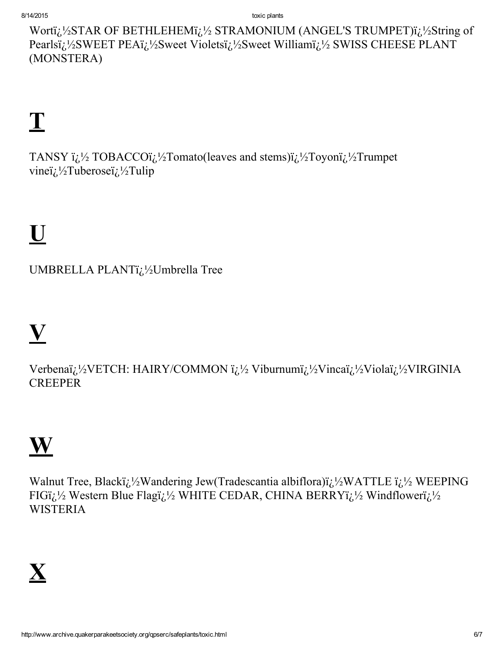toxic plants

Wortï¿<sup>1</sup>/<sub>2</sub>STAR OF BETHLEHEMï¿<sup>1</sup>/<sub>2</sub> STRAMONIUM (ANGEL'S TRUMPET)ï¿<sup>1</sup>/<sub>2</sub>String of Pearlsï<sub>i</sub>.<sup>1</sup>/<sub>2</sub>SWEET PEAï<sub>i</sub>.<sup>1</sup>/<sub>2</sub>Sweet Violetsï<sub>i</sub>.<sup>1</sup>/<sub>2</sub>Sweet Williamï<sub>i</sub>.<sup>1</sup>/<sub>2</sub> SWISS CHEESE PLANT (MONSTERA)

# $\mathbf T$

TANSY i<sub>i</sub><sup>1/2</sup> TOBACCOi<sup>2</sup>/2Tomato(leaves and stems)i<sup>2</sup>/2Toyoni<sup>2</sup>/2Trumpet vine $i/\sqrt{2}$ Tuberose $i/\sqrt{2}$ Tulip

# $\overline{\mathbf{U}}$

UMBRELLA PLANTi<sub>c</sub><sup>1</sup>/<sub>2</sub>Umbrella Tree

# $\overline{\mathbf{V}}$

Verbenaï<sub>i</sub>,<sup>1</sup>/<sub>2</sub>VETCH: HAIRY/COMMON ï<sub>i</sub>,<sup>1</sup>/<sub>2</sub> Viburnumï<sub>i</sub>,<sup>1</sup>/<sub>2</sub>Vincaï<sub>i</sub>,<sup>1</sup>/<sub>2</sub>Violaï<sub>i</sub>,<sup>1</sup>/<sub>2</sub>VIRGINIA **CREEPER** 

# $\mathbf{W}$

Walnut Tree, Blacki<sub>i</sub>,1/<sub>2</sub>Wandering Jew(Tradescantia albiflora)i<sub>i</sub>,1/<sub>2</sub>WATTLE i<sub>i</sub>,1/<sub>2</sub> WEEPING FIGi<sub>i</sub><sup>1/2</sup> Western Blue Flagi<sub>i</sub><sup>1</sup>/<sub>2</sub> WHITE CEDAR, CHINA BERRY<sub>i</sub><sup>1</sup>/<sub>2</sub> Windfloweri<sub>i</sub><sup>1</sup>/<sub>2</sub> **WISTERIA**